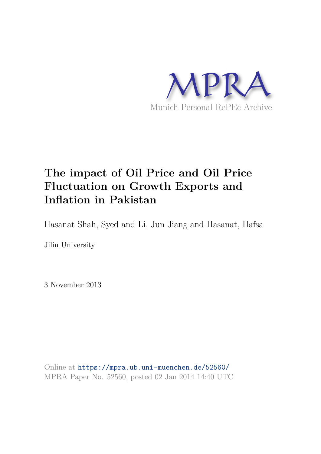

# **The impact of Oil Price and Oil Price Fluctuation on Growth Exports and Inflation in Pakistan**

Hasanat Shah, Syed and Li, Jun Jiang and Hasanat, Hafsa

Jilin University

3 November 2013

Online at https://mpra.ub.uni-muenchen.de/52560/ MPRA Paper No. 52560, posted 02 Jan 2014 14:40 UTC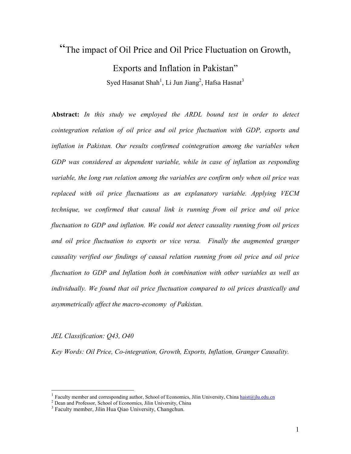## "The impact of Oil Price and Oil Price Fluctuation on Growth,

Exports and Inflation in Pakistan" Syed Hasanat Shah<sup>1</sup>, Li Jun Jiang<sup>2</sup>, Hafsa Hasnat<sup>3</sup>

Abstract: In this study we employed the ARDL bound test in order to detect cointegration relation of oil price and oil price fluctuation with GDP, exports and inflation in Pakistan. Our results confirmed cointegration among the variables when GDP was considered as dependent variable, while in case of inflation as responding variable, the long run relation among the variables are confirm only when oil price was replaced with oil price fluctuations as an explanatory variable. Applying VECM technique, we confirmed that causal link is running from oil price and oil price fluctuation to GDP and inflation. We could not detect causality running from oil prices and oil price fluctuation to exports or vice versa. Finally the augmented granger causality verified our findings of causal relation running from oil price and oil price fluctuation to GDP and Inflation both in combination with other variables as well as individually. We found that oil price fluctuation compared to oil prices drastically and asymmetrically affect the macro-economy of Pakistan.

*JEL Classification: Q43, O40* 

 $\overline{a}$ 

Key Words: Oil Price, Co-integration, Growth, Exports, Inflation, Granger Causality.

<sup>1</sup> Faculty member and corresponding author, School of Economics, Jilin University, China haist@jlu.edu.cn

<sup>&</sup>lt;sup>2</sup> Dean and Professor, School of Economics, Jilin University, China

<sup>&</sup>lt;sup>3</sup> Faculty member, Jilin Hua Qiao University, Changchun.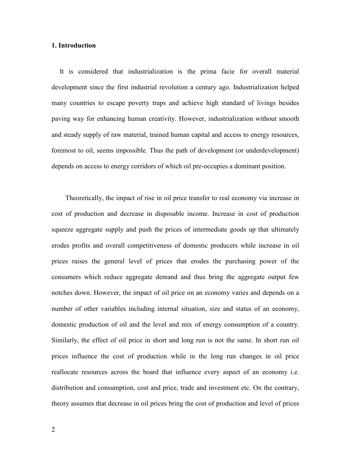#### **1.** Introduction

It is considered that industrialization is the prima facie for overall material development since the first industrial revolution a century ago. Industrialization helped many countries to escape poverty traps and achieve high standard of livings besides paving way for enhancing human creativity. However, industrialization without smooth and steady supply of raw material, trained human capital and access to energy resources, foremost to oil, seems impossible. Thus the path of development (or underdevelopment) depends on access to energy corridors of which oil pre-occupies a dominant position.

Theoretically, the impact of rise in oil price transfer to real economy via increase in cost of production and decrease in disposable income. Increase in cost of production squeeze aggregate supply and push the prices of intermediate goods up that ultimately erodes profits and overall competitiveness of domestic producers while increase in oil prices raises the general level of prices that erodes the purchasing power of the consumers which reduce aggregate demand and thus bring the aggregate output few notches down. However, the impact of oil price on an economy varies and depends on a number of other variables including internal situation, size and status of an economy, domestic production of oil and the level and mix of energy consumption of a country. Similarly, the effect of oil price in short and long run is not the same. In short run oil prices influence the cost of production while in the long run changes in oil price reallocate resources across the board that influence every aspect of an economy i.e. distribution and consumption, cost and price, trade and investment etc. On the contrary, theory assumes that decrease in oil prices bring the cost of production and level of prices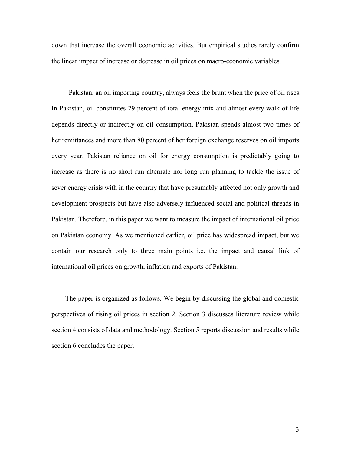down that increase the overall economic activities. But empirical studies rarely confirm the linear impact of increase or decrease in oil prices on macro-economic variables.

Pakistan, an oil importing country, always feels the brunt when the price of oil rises. In Pakistan, oil constitutes 29 percent of total energy mix and almost every walk of life depends directly or indirectly on oil consumption. Pakistan spends almost two times of her remittances and more than 80 percent of her foreign exchange reserves on oil imports every year. Pakistan reliance on oil for energy consumption is predictably going to increase as there is no short run alternate nor long run planning to tackle the issue of sever energy crisis with in the country that have presumably affected not only growth and development prospects but have also adversely influenced social and political threads in Pakistan. Therefore, in this paper we want to measure the impact of international oil price on Pakistan economy. As we mentioned earlier, oil price has widespread impact, but we contain our research only to three main points i.e. the impact and causal link of international oil prices on growth, inflation and exports of Pakistan.

The paper is organized as follows. We begin by discussing the global and domestic perspectives of rising oil prices in section 2. Section 3 discusses literature review while section 4 consists of data and methodology. Section 5 reports discussion and results while section 6 concludes the paper.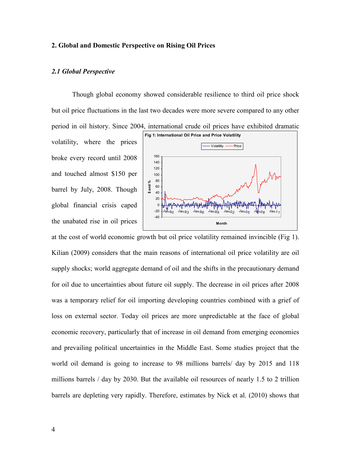#### **2. Global and Domestic Perspective on Rising Oil Prices**

#### 2.1 Global Perspective

Though global economy showed considerable resilience to third oil price shock but oil price fluctuations in the last two decades were more severe compared to any other period in oil history. Since 2004, international crude oil prices have exhibited dramatic

volatility, where the prices broke every record until 2008 and touched almost \$150 per barrel by July, 2008. Though global financial crisis caped the unabated rise in oil prices



at the cost of world economic growth but oil price volatility remained invincible (Fig 1). Kilian (2009) considers that the main reasons of international oil price volatility are oil supply shocks; world aggregate demand of oil and the shifts in the precautionary demand for oil due to uncertainties about future oil supply. The decrease in oil prices after 2008 was a temporary relief for oil importing developing countries combined with a grief of loss on external sector. Today oil prices are more unpredictable at the face of global economic recovery, particularly that of increase in oil demand from emerging economies and prevailing political uncertainties in the Middle East. Some studies project that the world oil demand is going to increase to 98 millions barrels/ day by 2015 and 118 millions barrels / day by 2030. But the available oil resources of nearly 1.5 to 2 trillion barrels are depleting very rapidly. Therefore, estimates by Nick et al. (2010) shows that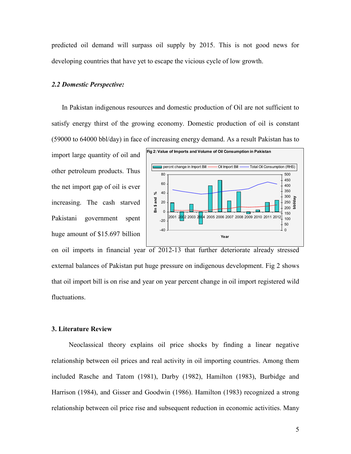predicted oil demand will surpass oil supply by 2015. This is not good news for developing countries that have yet to escape the vicious cycle of low growth.

#### 2.2 Domestic Perspective:

In Pakistan indigenous resources and domestic production of Oil are not sufficient to satisfy energy thirst of the growing economy. Domestic production of oil is constant (59000 to 64000 bbl/day) in face of increasing energy demand. As a result Pakistan has to

import large quantity of oil and other petroleum products. Thus the net import gap of oil is ever increasing. The cash starved Pakistani government spent huge amount of \$15.697 billion



on oil imports in financial year of 2012-13 that further deteriorate already stressed external balances of Pakistan put huge pressure on indigenous development. Fig 2 shows that oil import bill is on rise and year on year percent change in oil import registered wild fluctuations.

#### **3. Literature Review**

Neoclassical theory explains oil price shocks by finding a linear negative relationship between oil prices and real activity in oil importing countries. Among them included Rasche and Tatom (1981), Darby (1982), Hamilton (1983), Burbidge and Harrison (1984), and Gisser and Goodwin (1986). Hamilton (1983) recognized a strong relationship between oil price rise and subsequent reduction in economic activities. Many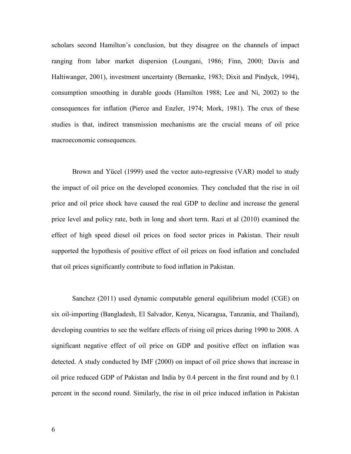scholars second Hamilton's conclusion, but they disagree on the channels of impact ranging from labor market dispersion (Loungani, 1986; Finn, 2000; Davis and Haltiwanger, 2001), investment uncertainty (Bernanke, 1983; Dixit and Pindyck, 1994), consumption smoothing in durable goods (Hamilton 1988; Lee and Ni, 2002) to the consequences for inflation (Pierce and Enzler, 1974; Mork, 1981). The crux of these studies is that, indirect transmission mechanisms are the crucial means of oil price macroeconomic consequences.

Brown and Yücel (1999) used the vector auto-regressive (VAR) model to study the impact of oil price on the developed economies. They concluded that the rise in oil price and oil price shock have caused the real GDP to decline and increase the general price level and policy rate, both in long and short term. Razi et al (2010) examined the effect of high speed diesel oil prices on food sector prices in Pakistan. Their result supported the hypothesis of positive effect of oil prices on food inflation and concluded that oil prices significantly contribute to food inflation in Pakistan.

Sanchez (2011) used dynamic computable general equilibrium model (CGE) on six oil-importing (Bangladesh, El Salvador, Kenya, Nicaragua, Tanzania, and Thailand), developing countries to see the welfare effects of rising oil prices during 1990 to 2008. A significant negative effect of oil price on GDP and positive effect on inflation was detected. A study conducted by IMF (2000) on impact of oil price shows that increase in oil price reduced GDP of Pakistan and India by 0.4 percent in the first round and by 0.1 percent in the second round. Similarly, the rise in oil price induced inflation in Pakistan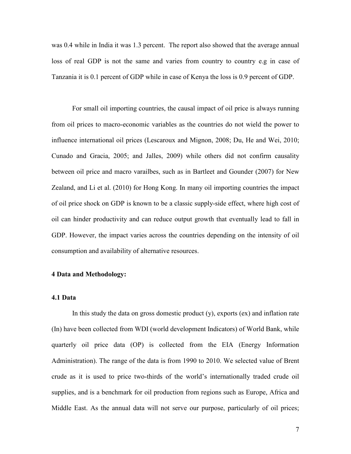was 0.4 while in India it was 1.3 percent. The report also showed that the average annual loss of real GDP is not the same and varies from country to country e.g in case of Tanzania it is 0.1 percent of GDP while in case of Kenya the loss is 0.9 percent of GDP.

For small oil importing countries, the causal impact of oil price is always running from oil prices to macro-economic variables as the countries do not wield the power to influence international oil prices (Lescaroux and Mignon, 2008; Du, He and Wei, 2010; Cunado and Gracia, 2005; and Jalles, 2009) while others did not confirm causality between oil price and macro varailbes, such as in Bartleet and Gounder (2007) for New Zealand, and Li et al. (2010) for Hong Kong. In many oil importing countries the impact of oil price shock on GDP is known to be a classic supply-side effect, where high cost of oil can hinder productivity and can reduce output growth that eventually lead to fall in GDP. However, the impact varies across the countries depending on the intensity of oil consumption and availability of alternative resources.

#### **4 Data and Methodology:**

#### **4.1 Data**

In this study the data on gross domestic product  $(y)$ , exports  $(ex)$  and inflation rate (In) have been collected from WDI (world development Indicators) of World Bank, while quarterly oil price data (OP) is collected from the EIA (Energy Information Administration). The range of the data is from 1990 to 2010. We selected value of Brent crude as it is used to price two-thirds of the world's internationally traded crude oil supplies, and is a benchmark for oil production from regions such as Europe, Africa and Middle East. As the annual data will not serve our purpose, particularly of oil prices;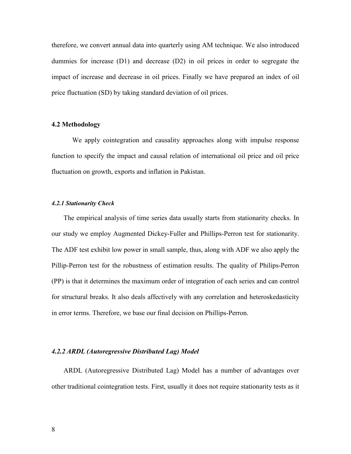therefore, we convert annual data into quarterly using AM technique. We also introduced dummies for increase (D1) and decrease (D2) in oil prices in order to segregate the impact of increase and decrease in oil prices. Finally we have prepared an index of oil price fluctuation (SD) by taking standard deviation of oil prices.

#### **4.2 Methodology**

We apply cointegration and causality approaches along with impulse response function to specify the impact and causal relation of international oil price and oil price fluctuation on growth, exports and inflation in Pakistan.

#### 4.2.1 Stationarity Check

The empirical analysis of time series data usually starts from stationarity checks. In our study we employ Augmented Dickey-Fuller and Phillips-Perron test for stationarity. The ADF test exhibit low power in small sample, thus, along with ADF we also apply the Pillip-Perron test for the robustness of estimation results. The quality of Philips-Perron (PP) is that it determines the maximum order of integration of each series and can control for structural breaks. It also deals affectively with any correlation and heteroskedasticity in error terms. Therefore, we base our final decision on Phillips-Perron.

#### 4.2.2 ARDL (Autoregressive Distributed Lag) Model

ARDL (Autoregressive Distributed Lag) Model has a number of advantages over other traditional cointegration tests. First, usually it does not require stationarity tests as it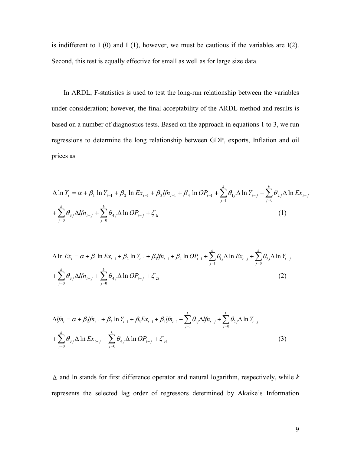is indifferent to I  $(0)$  and I  $(1)$ , however, we must be cautious if the variables are I $(2)$ . Second, this test is equally effective for small as well as for large size data.

In ARDL, F-statistics is used to test the long-run relationship between the variables under consideration; however, the final acceptability of the ARDL method and results is based on a number of diagnostics tests. Based on the approach in equations 1 to 3, we run regressions to determine the long relationship between GDP, exports, Inflation and oil prices as

$$
\Delta \ln Y_{t} = \alpha + \beta_{1} \ln Y_{t-1} + \beta_{2} \ln Ex_{t-1} + \beta_{3} \ln 2P_{t-1} + \beta_{4} \ln OP_{t-1} + \sum_{j=1}^{k} \theta_{1j} \Delta \ln Y_{t-j} + \sum_{j=0}^{k} \theta_{2j} \Delta \ln Ex_{t-j} + \sum_{j=0}^{k} \theta_{3j} \Delta \ln P_{t-j} + \sum_{j=0}^{k} \theta_{4j} \Delta \ln OP_{t-j} + \zeta_{1t}
$$
\n(1)

$$
\Delta \ln Ex_{t} = \alpha + \beta_{1} \ln Ex_{t-1} + \beta_{2} \ln Y_{t-1} + \beta_{3} l f n_{t-1} + \beta_{4} \ln OP_{t-1} + \sum_{j=1}^{k} \theta_{1j} \Delta \ln Ex_{t-j} + \sum_{j=0}^{k} \theta_{2j} \Delta \ln Y_{t-j} + \sum_{j=0}^{k} \theta_{3j} \Delta l f n_{t-j} + \sum_{j=0}^{k} \theta_{4j} \Delta \ln OP_{t-j} + \zeta_{2t}
$$
\n(2)

$$
\Delta f_n = \alpha + \beta_1 f_n_{t-1} + \beta_2 \ln Y_{t-1} + \beta_3 E x_{t-1} + \beta_4 f_n_{t-1} + \sum_{j=1}^k \theta_{1j} \Delta f_n_{t-j} + \sum_{j=0}^k \theta_{2j} \Delta \ln Y_{t-j}
$$
  
+ 
$$
\sum_{j=0}^k \theta_{3j} \Delta \ln E x_{t-j} + \sum_{j=0}^k \theta_{4j} \Delta \ln OP_{t-j} + \zeta_{3t}
$$
 (3)

 $\Delta$  and ln stands for first difference operator and natural logarithm, respectively, while k represents the selected lag order of regressors determined by Akaike's Information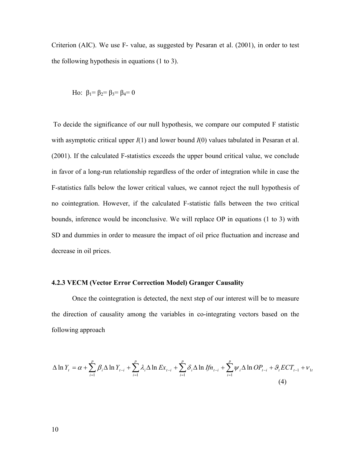Criterion (AIC). We use  $F-$  value, as suggested by Pesaran et al. (2001), in order to test the following hypothesis in equations (1 to 3).

Ho: 
$$
β_1 = β_2 = β_3 = β_4 = 0
$$

 To decide the significance of our null hypothesis, we compare our computed F statistic with asymptotic critical upper  $I(1)$  and lower bound  $I(0)$  values tabulated in Pesaran et al.  $(2001)$ . If the calculated F-statistics exceeds the upper bound critical value, we conclude in favor of a long-run relationship regardless of the order of integration while in case the F-statistics falls below the lower critical values, we cannot reject the null hypothesis of no cointegration. However, if the calculated F-statistic falls between the two critical bounds, inference would be inconclusive. We will replace OP in equations (1 to 3) with SD and dummies in order to measure the impact of oil price fluctuation and increase and decrease in oil prices.

#### **4.2.3 VECM (Vector Error Correction Model) Granger Causality**

Once the cointegration is detected, the next step of our interest will be to measure the direction of causality among the variables in co-integrating vectors based on the following approach

$$
\Delta \ln Y_{t} = \alpha + \sum_{i=1}^{p} \beta_{i} \Delta \ln Y_{t-i} + \sum_{i=1}^{p} \lambda_{i} \Delta \ln Ex_{t-i} + \sum_{i=1}^{p} \delta_{i} \Delta \ln If n_{t-i} + \sum_{i=1}^{p} \psi_{i} \Delta \ln OP_{t-i} + \vartheta_{t} ECT_{t-1} + \nu_{1t}
$$
\n(4)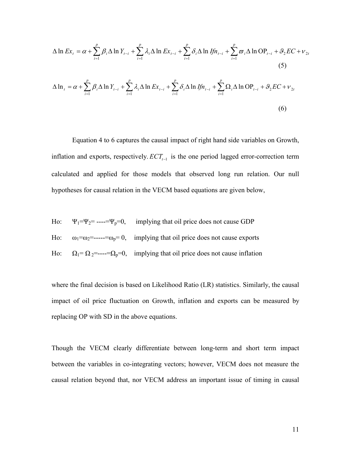$$
\Delta \ln Ex_{t} = \alpha + \sum_{i=1}^{p} \beta_{i} \Delta \ln Y_{t-i} + \sum_{i=1}^{p} \lambda_{i} \Delta \ln Ex_{t-i} + \sum_{i=1}^{p} \delta_{i} \Delta \ln If n_{t-i} + \sum_{i=1}^{p} \varpi_{i} \Delta \ln OP_{t-i} + \vartheta_{2} EC + \nu_{2t}
$$
\n(5)\n
$$
\Delta \ln t = \alpha + \sum_{i=1}^{p} \beta_{i} \Delta \ln Y_{t-i} + \sum_{i=1}^{p} \lambda_{i} \Delta \ln Ex_{t-i} + \sum_{i=1}^{p} \delta_{i} \Delta \ln If n_{t-i} + \sum_{i=1}^{p} \Omega_{i} \Delta \ln OP_{t-i} + \vartheta_{2} EC + \nu_{2t}
$$
\n(6)

Equation 4 to 6 captures the causal impact of right hand side variables on Growth, inflation and exports, respectively.  $ECT_{t-1}$  is the one period lagged error-correction term calculated and applied for those models that observed long run relation. Our null hypotheses for causal relation in the VECM based equations are given below,

Ho: Ψ<sub>1</sub>=
$$
\Psi_2
$$
=---= $\Psi_p$ =0, implying that oil price does not cause GDP  
Ho:  $ω_1$ = $ω_2$ =---= $ω_p$ =0, implying that oil price does not cause exports  
Ho:  $Ω_1$ =  $Ω_2$ =---= $Ω_p$ =0, implying that oil price does not cause inflation

where the final decision is based on Likelihood Ratio (LR) statistics. Similarly, the causal impact of oil price fluctuation on Growth, inflation and exports can be measured by replacing OP with SD in the above equations.

Though the VECM clearly differentiate between long-term and short term impact between the variables in co-integrating vectors; however, VECM does not measure the causal relation beyond that, nor VECM address an important issue of timing in causal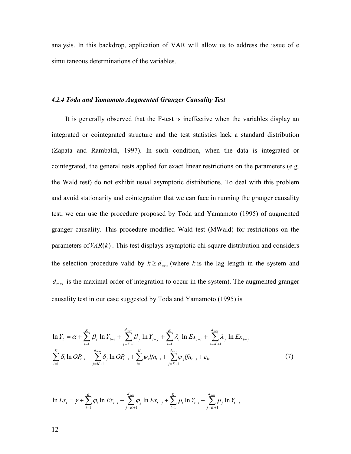analysis. In this backdrop, application of VAR will allow us to address the issue of e simultaneous determinations of the variables.

#### 4.2.4 Toda and Yamamoto Augmented Granger Causality Test

It is generally observed that the F-test is ineffective when the variables display an integrated or cointegrated structure and the test statistics lack a standard distribution (Zapata and Rambaldi, 1997). In such condition, when the data is integrated or cointegrated, the general tests applied for exact linear restrictions on the parameters (e.g. the Wald test) do not exhibit usual asymptotic distributions. To deal with this problem and avoid stationarity and cointegration that we can face in running the granger causality test, we can use the procedure proposed by Toda and Yamamoto (1995) of augmented granger causality. This procedure modified Wald test (MWald) for restrictions on the parameters of  $VAR(k)$ . This test displays asymptotic chi-square distribution and considers the selection procedure valid by  $k \geq d_{\text{max}}$  (where k is the lag length in the system and  $d_{\text{max}}$  is the maximal order of integration to occur in the system). The augmented granger causality test in our case suggested by Toda and Yamamoto (1995) is

$$
\ln Y_{t} = \alpha + \sum_{i=1}^{K} \beta_{i} \ln Y_{t-i} + \sum_{j=K+1}^{d_{\text{max}}} \beta_{j} \ln Y_{t-j} + \sum_{i=1}^{K} \lambda_{i} \ln Ex_{t-i} + \sum_{j=K+1}^{d_{\text{max}}} \lambda_{j} \ln Ex_{t-j}
$$
  

$$
\sum_{i=1}^{K} \delta_{i} \ln OP_{t-i} + \sum_{j=K+1}^{d_{\text{max}}} \delta_{j} \ln OP_{t-j} + \sum_{i=1}^{K} \psi_{i} l f n_{t-i} + \sum_{j=K+1}^{d_{\text{max}}} \psi_{j} l f n_{t-j} + \varepsilon_{1t}
$$
(7)

$$
\ln Ex_{t} = \gamma + \sum_{i=1}^{K} \varphi_{i} \ln Ex_{t-i} + \sum_{j=K+1}^{d_{\max}} \varphi_{j} \ln Ex_{t-j} + \sum_{i=1}^{K} \mu_{i} \ln Y_{t-i} + \sum_{j=K+1}^{d_{\max}} \mu_{j} \ln Y_{t-j}
$$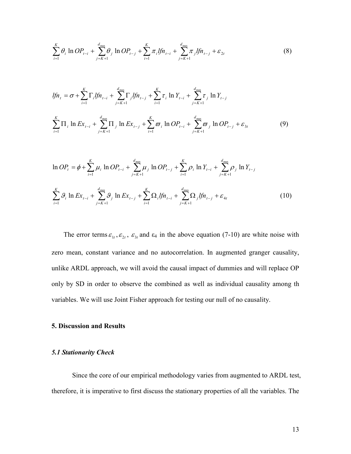$$
\sum_{i=1}^{K} \theta_i \ln OP_{t-i} + \sum_{j=K+1}^{d_{\text{max}}} \theta_j \ln OP_{t-j} + \sum_{i=1}^{K} \pi_i lfn_{t-i} + \sum_{j=K+1}^{d_{\text{max}}} \pi_j lfn_{t-j} + \varepsilon_{2t}
$$
(8)

$$
lfn_{t} = \sigma + \sum_{i=1}^{K} \Gamma_{i}lfn_{t-i} + \sum_{j=K+1}^{d_{\text{max}}} \Gamma_{j}lfn_{t-j} + \sum_{i=1}^{K} \tau_{i} \ln Y_{t-i} + \sum_{j=K+1}^{d_{\text{max}}} \tau_{j} \ln Y_{t-j}
$$
  

$$
\sum_{i=1}^{K} \Pi_{i} \ln Ex_{t-i} + \sum_{j=K+1}^{d_{\text{max}}} \Pi_{j} \ln Ex_{t-j} + \sum_{i=1}^{K} \varpi_{i} \ln OP_{t-i} + \sum_{j=K+1}^{d_{\text{max}}} \varpi_{j} \ln OP_{t-j} + \varepsilon_{3t}
$$
(9)

$$
\ln OP_{t} = \phi + \sum_{i=1}^{K} \mu_{i} \ln OP_{t-i} + \sum_{j=K+1}^{d_{\max}} \mu_{j} \ln OP_{t-j} + \sum_{i=1}^{K} \rho_{i} \ln Y_{t-i} + \sum_{j=K+1}^{d_{\max}} \rho_{j} \ln Y_{t-j}
$$
\n
$$
\sum_{i=1}^{K} \mathcal{G}_{i} \ln Ex_{t-i} + \sum_{j=K+1}^{d_{\max}} \mathcal{G}_{j} \ln Ex_{t-j} + \sum_{i=1}^{K} \Omega_{i} \ell f n_{t-i} + \sum_{j=K+1}^{d_{\max}} \Omega_{j} \ell f n_{t-j} + \varepsilon_{4t} \tag{10}
$$

The error terms  $\varepsilon_{1t}$ ,  $\varepsilon_{2t}$ ,  $\varepsilon_{3t}$  and  $\varepsilon_4$  in the above equation (7-10) are white noise with zero mean, constant variance and no autocorrelation. In augmented granger causality, unlike ARDL approach, we will avoid the causal impact of dummies and will replace OP only by SD in order to observe the combined as well as individual causality among th variables. We will use Joint Fisher approach for testing our null of no causality.

#### **5. Discussion and Results**

#### **5.1 Stationarity Check**

Since the core of our empirical methodology varies from augmented to ARDL test, therefore, it is imperative to first discuss the stationary properties of all the variables. The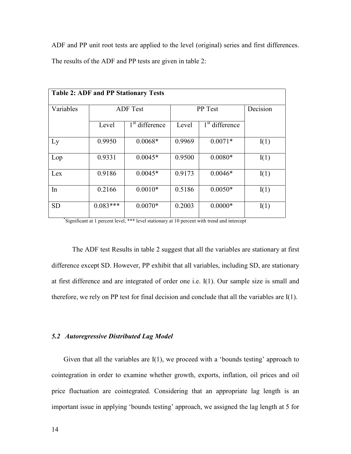ADF and PP unit root tests are applied to the level (original) series and first differences. The results of the ADF and PP tests are given in table 2:

| <b>Table 2: ADF and PP Stationary Tests</b> |                 |                            |         |                            |      |  |  |
|---------------------------------------------|-----------------|----------------------------|---------|----------------------------|------|--|--|
| Variables                                   | <b>ADF</b> Test |                            | PP Test | Decision                   |      |  |  |
|                                             | Level           | 1 <sup>st</sup> difference | Level   | 1 <sup>st</sup> difference |      |  |  |
| Ly                                          | 0.9950          | $0.0068*$                  | 0.9969  | $0.0071*$                  | I(1) |  |  |
| Lop                                         | 0.9331          | $0.0045*$                  | 0.9500  | $0.0080*$                  | I(1) |  |  |
| Lex                                         | 0.9186          | $0.0045*$                  | 0.9173  | $0.0046*$                  | I(1) |  |  |
| In                                          | 0.2166          | $0.0010*$                  | 0.5186  | $0.0050*$                  | I(1) |  |  |
| <b>SD</b>                                   | $0.083***$      | $0.0070*$                  | 0.2003  | $0.0000*$                  | I(1) |  |  |

\* Significant at 1 percent level, \*\*\* level stationary at 10 percent with trend and intercept

The ADF test Results in table 2 suggest that all the variables are stationary at first difference except SD. However, PP exhibit that all variables, including SD, are stationary at first difference and are integrated of order one i.e. I(1). Our sample size is small and therefore, we rely on PP test for final decision and conclude that all the variables are I(1).

#### 5.2 Autoregressive Distributed Lag Model

Given that all the variables are  $I(1)$ , we proceed with a 'bounds testing' approach to cointegration in order to examine whether growth, exports, inflation, oil prices and oil price fluctuation are cointegrated. Considering that an appropriate lag length is an important issue in applying 'bounds testing' approach, we assigned the lag length at 5 for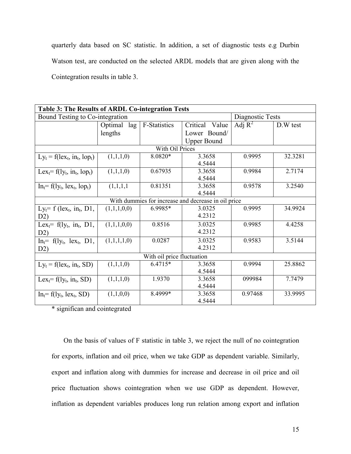quarterly data based on SC statistic. In addition, a set of diagnostic tests e.g Durbin Watson test, are conducted on the selected ARDL models that are given along with the Cointegration results in table 3.

| Table 3: The Results of ARDL Co-integration Tests   |                |                     |                                                     |           |          |  |  |
|-----------------------------------------------------|----------------|---------------------|-----------------------------------------------------|-----------|----------|--|--|
| Bound Testing to Co-integration<br>Diagnostic Tests |                |                     |                                                     |           |          |  |  |
|                                                     | Optimal<br>lag | <b>F-Statistics</b> | Critical Value                                      | Adj $R^2$ | D.W test |  |  |
|                                                     | lengths        |                     | Lower Bound/                                        |           |          |  |  |
|                                                     |                |                     | <b>Upper Bound</b>                                  |           |          |  |  |
|                                                     |                | With Oil Prices     |                                                     |           |          |  |  |
| $Ly_t = f(\text{lex}_t, \text{in}_t, \text{lop}_t)$ | (1,1,1,0)      | 8.0820*             | 3.3658                                              | 0.9995    | 32.3281  |  |  |
|                                                     |                |                     | 4.5444                                              |           |          |  |  |
| Lex <sub>t</sub> = $f(1y_t, in_t, lop_t)$           | (1,1,1,0)      | 0.67935             | 3.3658                                              | 0.9984    | 2.7174   |  |  |
|                                                     |                |                     | 4.5444                                              |           |          |  |  |
| $Int=f(1yt, 1ext, 1opt)$                            | (1,1,1,1)      | 0.81351             | 3.3658                                              | 0.9578    | 3.2540   |  |  |
|                                                     |                |                     | 4.5444                                              |           |          |  |  |
|                                                     |                |                     | With dummies for increase and decrease in oil price |           |          |  |  |
| $Ly_t = f$ (lex <sub>t,</sub> in <sub>t</sub> , D1, | (1,1,1,0,0)    | 6.9985*             | 3.0325                                              | 0.9995    | 34.9924  |  |  |
| D2)                                                 |                |                     | 4.2312                                              |           |          |  |  |
| Lex <sub>t</sub> = $f(ly_t, in_t, D1,$              | (1,1,1,0,0)    | 0.8516              | 3.0325                                              | 0.9985    | 4.4258   |  |  |
| D2)                                                 |                |                     | 4.2312                                              |           |          |  |  |
| $Int= f(1yt, 1ext, D1,$                             | (1,1,1,1,0)    | 0.0287              | 3.0325                                              | 0.9583    | 3.5144   |  |  |
| D2)                                                 |                |                     | 4.2312                                              |           |          |  |  |
| With oil price fluctuation                          |                |                     |                                                     |           |          |  |  |
| $Ly_t = f(\text{lex}_t, \text{in}_t, SD)$           | (1,1,1,0)      | 6.4715*             | 3.3658                                              | 0.9994    | 25.8862  |  |  |
|                                                     |                |                     | 4.5444                                              |           |          |  |  |
| Lex <sub>t</sub> = $f(ly_t, in_t, SD)$              | (1,1,1,0)      | 1.9370              | 3.3658                                              | 099984    | 7.7479   |  |  |
|                                                     |                |                     | 4.5444                                              |           |          |  |  |
| $Int=f(1yt, 1ext, SD)$                              | (1,1,0,0)      | 8.4999*             | 3.3658                                              | 0.97468   | 33.9995  |  |  |
|                                                     |                |                     | 4.5444                                              |           |          |  |  |

\* significan and cointegrated

On the basis of values of F statistic in table 3, we reject the null of no cointegration for exports, inflation and oil price, when we take GDP as dependent variable. Similarly, export and inflation along with dummies for increase and decrease in oil price and oil price fluctuation shows cointegration when we use GDP as dependent. However, inflation as dependent variables produces long run relation among export and inflation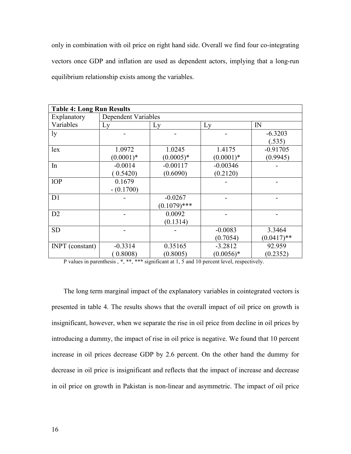only in combination with oil price on right hand side. Overall we find four co-integrating vectors once GDP and inflation are used as dependent actors, implying that a long-run equilibrium relationship exists among the variables.

| <b>Table 4: Long Run Results</b> |                            |                |             |               |  |  |
|----------------------------------|----------------------------|----------------|-------------|---------------|--|--|
| Explanatory                      | <b>Dependent Variables</b> |                |             |               |  |  |
| Variables                        | Ly                         | Ly             | Ly          | IN            |  |  |
| ly                               |                            |                |             | $-6.3203$     |  |  |
|                                  |                            |                |             | (.535)        |  |  |
| lex                              | 1.0972                     | 1.0245         | 1.4175      | $-0.91705$    |  |  |
|                                  | $(0.0001)^*$               | $(0.0005)*$    | $(0.0001)*$ | (0.9945)      |  |  |
| In                               | $-0.0014$                  | $-0.00117$     | $-0.00346$  |               |  |  |
|                                  | 0.5420                     | (0.6090)       | (0.2120)    |               |  |  |
| 1OP                              | 0.1679                     |                |             |               |  |  |
|                                  | $- (0.1700)$               |                |             |               |  |  |
| D1                               |                            | $-0.0267$      |             |               |  |  |
|                                  |                            | $(0.1079)$ *** |             |               |  |  |
| D2                               |                            | 0.0092         |             |               |  |  |
|                                  |                            | (0.1314)       |             |               |  |  |
| <b>SD</b>                        |                            |                | $-0.0083$   | 3.3464        |  |  |
|                                  |                            |                | (0.7054)    | $(0.0417)$ ** |  |  |
| <b>INPT</b> (constant)           | $-0.3314$                  | 0.35165        | $-3.2812$   | 92.959        |  |  |
|                                  | (0.8008)                   | (0.8005)       | $(0.0056)*$ | (0.2352)      |  |  |

P values in parenthesis , \*, \*\*, \*\*\* significant at 1, 5 and 10 percent level, respectively.

The long term marginal impact of the explanatory variables in cointegrated vectors is presented in table 4. The results shows that the overall impact of oil price on growth is insignificant, however, when we separate the rise in oil price from decline in oil prices by introducing a dummy, the impact of rise in oil price is negative. We found that 10 percent increase in oil prices decrease GDP by 2.6 percent. On the other hand the dummy for decrease in oil price is insignificant and reflects that the impact of increase and decrease in oil price on growth in Pakistan is non-linear and asymmetric. The impact of oil price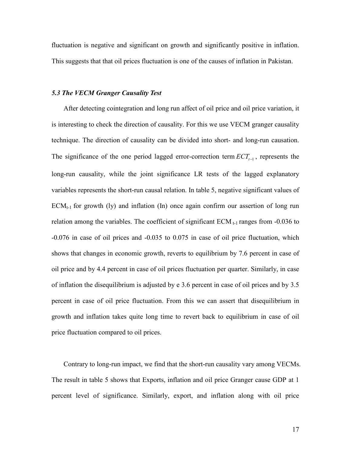fluctuation is negative and significant on growth and significantly positive in inflation. This suggests that that oil prices fluctuation is one of the causes of inflation in Pakistan.

#### 5.3 The VECM Granger Causality Test

After detecting cointegration and long run affect of oil price and oil price variation, it is interesting to check the direction of causality. For this we use VECM granger causality technique. The direction of causality can be divided into short- and long-run causation. The significance of the one period lagged error-correction term  $\mathit{ECT}_{t-1}$ , represents the long-run causality, while the joint significance LR tests of the lagged explanatory variables represents the short-run causal relation. In table 5, negative significant values of  $ECM<sub>t-1</sub>$  for growth (ly) and inflation (In) once again confirm our assertion of long run relation among the variables. The coefficient of significant  $ECM_{t-1}$  ranges from  $-0.036$  to 40.076 in case of oil prices and 40.035 to 0.075 in case of oil price fluctuation, which shows that changes in economic growth, reverts to equilibrium by 7.6 percent in case of oil price and by 4.4 percent in case of oil prices fluctuation per quarter. Similarly, in case of inflation the disequilibrium is adjusted by e 3.6 percent in case of oil prices and by 3.5 percent in case of oil price fluctuation. From this we can assert that disequilibrium in growth and inflation takes quite long time to revert back to equilibrium in case of oil price fluctuation compared to oil prices.

Contrary to long-run impact, we find that the short-run causality vary among VECMs. The result in table 5 shows that Exports, inflation and oil price Granger cause GDP at 1 percent level of significance. Similarly, export, and inflation along with oil price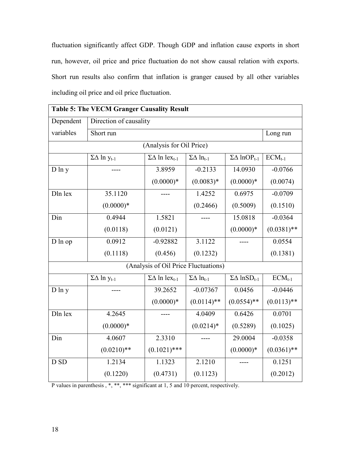fluctuation significantly affect GDP. Though GDP and inflation cause exports in short run, however, oil price and price fluctuation do not show causal relation with exports. Short run results also confirm that inflation is granger caused by all other variables including oil price and oil price fluctuation.

| Short run                          |                                      |                                  |                                                                               | Long run                             |
|------------------------------------|--------------------------------------|----------------------------------|-------------------------------------------------------------------------------|--------------------------------------|
|                                    |                                      |                                  |                                                                               |                                      |
| $\Sigma\Delta$ ln y <sub>t-1</sub> | $\Sigma\Delta$ ln lex <sub>t-1</sub> | $\Sigma\Delta$ ln <sub>t-1</sub> | $\Sigma\Delta$ lnOP <sub>t-1</sub>                                            | $ECM_{t-1}$                          |
|                                    | 3.8959                               | $-0.2133$                        | 14.0930                                                                       | $-0.0766$                            |
|                                    | $(0.0000)*$                          | $(0.0083)*$                      | $(0.0000)*$                                                                   | (0.0074)                             |
| 35.1120                            |                                      | 1.4252                           | 0.6975                                                                        | $-0.0709$                            |
| $(0.0000)*$                        |                                      | (0.2466)                         | (0.5009)                                                                      | (0.1510)                             |
| 0.4944                             | 1.5821                               |                                  | 15.0818                                                                       | $-0.0364$                            |
| (0.0118)                           | (0.0121)                             |                                  | $(0.0000)*$                                                                   | $(0.0381)$ **                        |
| 0.0912                             | $-0.92882$                           | 3.1122                           |                                                                               | 0.0554                               |
| (0.1118)                           | (0.456)                              | (0.1232)                         |                                                                               | (0.1381)                             |
|                                    |                                      |                                  |                                                                               |                                      |
| $\Sigma\Delta$ ln y <sub>t-1</sub> | $\Sigma\Delta$ ln lex <sub>t-1</sub> | $\Sigma\Delta$ ln <sub>t-1</sub> | $\Sigma\Delta$ lnSD <sub>t-1</sub>                                            | $ECM_{t-1}$                          |
|                                    | 39.2652                              | $-0.07367$                       | 0.0456                                                                        | $-0.0446$                            |
|                                    | $(0.0000)*$                          | $(0.0114)$ **                    | $(0.0554)$ **                                                                 | $(0.0113)$ **                        |
| 4.2645                             |                                      | 4.0409                           | 0.6426                                                                        | 0.0701                               |
| $(0.0000)*$                        |                                      | $(0.0214)$ *                     | (0.5289)                                                                      | (0.1025)                             |
| 4.0607                             | 2.3310                               |                                  | 29.0004                                                                       | $-0.0358$                            |
| $(0.0210)$ **                      | $(0.1021)$ ***                       |                                  | $(0.0000)*$                                                                   | $(0.0361)$ **                        |
| 1.2134                             | 1.1323                               | 2.1210                           |                                                                               | 0.1251                               |
| (0.1220)                           | (0.4731)                             | (0.1123)                         |                                                                               | (0.2012)                             |
|                                    |                                      | Direction of causality           | <b>Table 5: The VECM Granger Causality Result</b><br>(Analysis for Oil Price) | (Analysis of Oil Price Fluctuations) |

| P values in parenthesis, *, **, *** significant at 1, 5 and 10 percent, respectively. |  |  |  |  |  |  |
|---------------------------------------------------------------------------------------|--|--|--|--|--|--|
|---------------------------------------------------------------------------------------|--|--|--|--|--|--|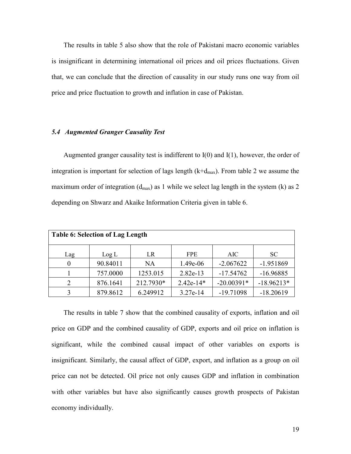The results in table 5 also show that the role of Pakistani macro economic variables is insignificant in determining international oil prices and oil prices fluctuations. Given that, we can conclude that the direction of causality in our study runs one way from oil price and price fluctuation to growth and inflation in case of Pakistan.

#### 5.4 Augmented Granger Causality Test

Augmented granger causality test is indifferent to  $I(0)$  and  $I(1)$ , however, the order of integration is important for selection of lags length  $(k+d_{max})$ . From table 2 we assume the maximum order of integration  $(d_{max})$  as 1 while we select lag length in the system (k) as 2 depending on Shwarz and Akaike Information Criteria given in table 6.

| <b>Table 6: Selection of Lag Length</b> |          |           |             |              |              |  |  |
|-----------------------------------------|----------|-----------|-------------|--------------|--------------|--|--|
| Lag                                     | Log L    | LR        | <b>FPE</b>  | AIC          | <b>SC</b>    |  |  |
| $\Omega$                                | 90.84011 | NA        | 1.49e-06    | $-2.067622$  | $-1.951869$  |  |  |
|                                         | 757.0000 | 1253.015  | 2.82e-13    | $-17.54762$  | $-16.96885$  |  |  |
| 2                                       | 876.1641 | 212.7930* | $2.42e-14*$ | $-20.00391*$ | $-18.96213*$ |  |  |
| 3                                       | 879.8612 | 6.249912  | 3.27e-14    | $-19.71098$  | $-18.20619$  |  |  |

The results in table 7 show that the combined causality of exports, inflation and oil price on GDP and the combined causality of GDP, exports and oil price on inflation is significant, while the combined causal impact of other variables on exports is insignificant. Similarly, the causal affect of GDP, export, and inflation as a group on oil price can not be detected. Oil price not only causes GDP and inflation in combination with other variables but have also significantly causes growth prospects of Pakistan economy individually.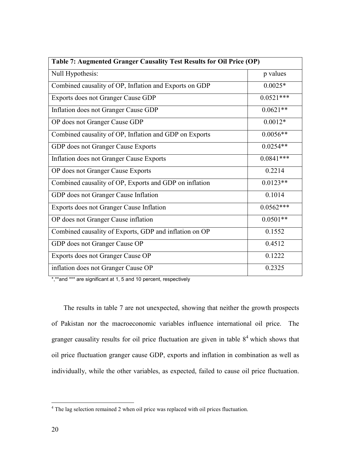| Table 7: Augmented Granger Causality Test Results for Oil Price (OP) |             |  |  |  |
|----------------------------------------------------------------------|-------------|--|--|--|
| Null Hypothesis:                                                     | p values    |  |  |  |
| Combined causality of OP, Inflation and Exports on GDP               | $0.0025*$   |  |  |  |
| Exports does not Granger Cause GDP                                   | $0.0521***$ |  |  |  |
| Inflation does not Granger Cause GDP                                 | $0.0621**$  |  |  |  |
| OP does not Granger Cause GDP                                        | $0.0012*$   |  |  |  |
| Combined causality of OP, Inflation and GDP on Exports               | $0.0056**$  |  |  |  |
| GDP does not Granger Cause Exports                                   | $0.0254**$  |  |  |  |
| Inflation does not Granger Cause Exports                             | $0.0841***$ |  |  |  |
| OP does not Granger Cause Exports                                    | 0.2214      |  |  |  |
| Combined causality of OP, Exports and GDP on inflation               | $0.0123**$  |  |  |  |
| GDP does not Granger Cause Inflation                                 | 0.1014      |  |  |  |
| Exports does not Granger Cause Inflation                             | $0.0562***$ |  |  |  |
| OP does not Granger Cause inflation                                  | $0.0501**$  |  |  |  |
| Combined causality of Exports, GDP and inflation on OP               | 0.1552      |  |  |  |
| GDP does not Granger Cause OP                                        | 0.4512      |  |  |  |
| Exports does not Granger Cause OP                                    | 0.1222      |  |  |  |
| inflation does not Granger Cause OP                                  | 0.2325      |  |  |  |

\*,\*\*and \*\*\* are significant at 1, 5 and 10 percent, respectively

The results in table 7 are not unexpected, showing that neither the growth prospects of Pakistan nor the macroeconomic variables influence international oil price. The granger causality results for oil price fluctuation are given in table  $8<sup>4</sup>$  which shows that oil price fluctuation granger cause GDP, exports and inflation in combination as well as individually, while the other variables, as expected, failed to cause oil price fluctuation.

 4 The lag selection remained 2 when oil price was replaced with oil prices fluctuation.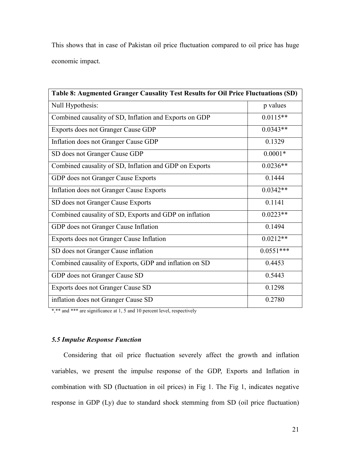This shows that in case of Pakistan oil price fluctuation compared to oil price has huge economic impact.

| Table 8: Augmented Granger Causality Test Results for Oil Price Fluctuations (SD) |             |  |  |  |
|-----------------------------------------------------------------------------------|-------------|--|--|--|
| Null Hypothesis:                                                                  | p values    |  |  |  |
| Combined causality of SD, Inflation and Exports on GDP                            | $0.0115**$  |  |  |  |
| Exports does not Granger Cause GDP                                                | $0.0343**$  |  |  |  |
| Inflation does not Granger Cause GDP                                              | 0.1329      |  |  |  |
| SD does not Granger Cause GDP                                                     | $0.0001*$   |  |  |  |
| Combined causality of SD, Inflation and GDP on Exports                            | $0.0236**$  |  |  |  |
| GDP does not Granger Cause Exports                                                | 0.1444      |  |  |  |
| Inflation does not Granger Cause Exports                                          | $0.0342**$  |  |  |  |
| SD does not Granger Cause Exports                                                 | 0.1141      |  |  |  |
| Combined causality of SD, Exports and GDP on inflation                            | $0.0223**$  |  |  |  |
| GDP does not Granger Cause Inflation                                              | 0.1494      |  |  |  |
| Exports does not Granger Cause Inflation                                          | $0.0212**$  |  |  |  |
| SD does not Granger Cause inflation                                               | $0.0551***$ |  |  |  |
| Combined causality of Exports, GDP and inflation on SD                            | 0.4453      |  |  |  |
| GDP does not Granger Cause SD                                                     | 0.5443      |  |  |  |
| Exports does not Granger Cause SD                                                 | 0.1298      |  |  |  |
| inflation does not Granger Cause SD                                               | 0.2780      |  |  |  |

\*,\*\* and \*\*\* are significance at 1, 5 and 10 percent level, respectively

#### **5.5 Impulse Response Function**

Considering that oil price fluctuation severely affect the growth and inflation variables, we present the impulse response of the GDP, Exports and Inflation in combination with SD (fluctuation in oil prices) in Fig 1. The Fig 1, indicates negative response in GDP (Ly) due to standard shock stemming from SD (oil price fluctuation)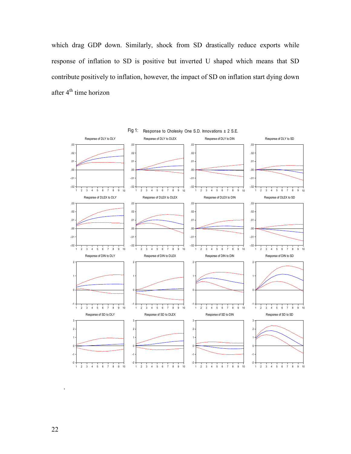which drag GDP down. Similarly, shock from SD drastically reduce exports while response of inflation to SD is positive but inverted U shaped which means that SD contribute positively to inflation, however, the impact of SD on inflation start dying down after  $4^{\text{th}}$  time horizon



.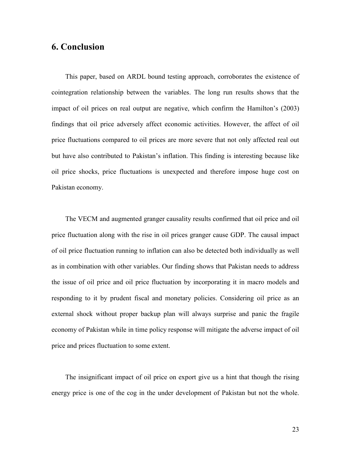### **6. Conclusion**

This paper, based on ARDL bound testing approach, corroborates the existence of cointegration relationship between the variables. The long run results shows that the impact of oil prices on real output are negative, which confirm the Hamilton's (2003) findings that oil price adversely affect economic activities. However, the affect of oil price fluctuations compared to oil prices are more severe that not only affected real out but have also contributed to Pakistan's inflation. This finding is interesting because like oil price shocks, price fluctuations is unexpected and therefore impose huge cost on Pakistan economy.

The VECM and augmented granger causality results confirmed that oil price and oil price fluctuation along with the rise in oil prices granger cause GDP. The causal impact of oil price fluctuation running to inflation can also be detected both individually as well as in combination with other variables. Our finding shows that Pakistan needs to address the issue of oil price and oil price fluctuation by incorporating it in macro models and responding to it by prudent fiscal and monetary policies. Considering oil price as an external shock without proper backup plan will always surprise and panic the fragile economy of Pakistan while in time policy response will mitigate the adverse impact of oil price and prices fluctuation to some extent.

The insignificant impact of oil price on export give us a hint that though the rising energy price is one of the cog in the under development of Pakistan but not the whole.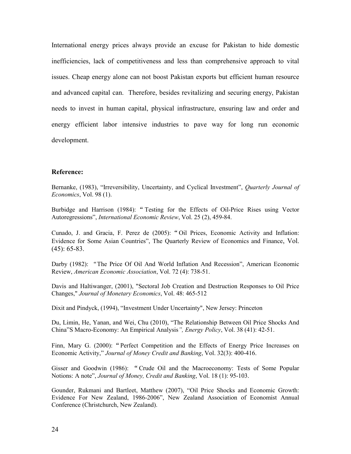International energy prices always provide an excuse for Pakistan to hide domestic inefficiencies, lack of competitiveness and less than comprehensive approach to vital issues. Cheap energy alone can not boost Pakistan exports but efficient human resource and advanced capital can. Therefore, besides revitalizing and securing energy, Pakistan needs to invest in human capital, physical infrastructure, ensuring law and order and energy efficient labor intensive industries to pave way for long run economic development.

#### **.**

Bernanke, (1983), "Irreversibility, Uncertainty, and Cyclical Investment", *Quarterly Journal of Economics*, Vol. 98 (1).

Burbidge and Harrison (1984): " Testing for the Effects of Oil-Price Rises using Vector Autoregressions", *International Economic Review*, Vol. 25 (2), 459-84.

Cunado, J. and Gracia, F. Perez de (2005): "Oil Prices, Economic Activity and Inflation: Evidence for Some Asian Countries", The Quarterly Review of Economics and Finance, Vol.  $(45): 65-83.$ 

Darby (1982): "The Price Of Oil And World Inflation And Recession", American Economic Review, American Economic Association, Vol. 72 (4): 738-51.

Davis and Haltiwanger, (2001), "Sectoral Job Creation and Destruction Responses to Oil Price Changes," Journal of Monetary Economics, Vol. 48: 465-512

Dixit and Pindyck, (1994), "Investment Under Uncertainty", New Jersey: Princeton

Du, Limin, He, Yanan, and Wei, Chu (2010), "The Relationship Between Oil Price Shocks And China"S Macro-Economy: An Empirical Analysis", *Energy Policy*, Vol. 38 (41): 42-51.

Finn, Mary G. (2000): "Perfect Competition and the Effects of Energy Price Increases on Economic Activity," Journal of Money Credit and Banking, Vol. 32(3): 400-416.

Gisser and Goodwin (1986): "Crude Oil and the Macroeconomy: Tests of Some Popular Notions: A note", *Journal of Money, Credit and Banking*, Vol. 18 (1): 95-103.

Gounder, Rukmani and Bartleet, Matthew (2007), "Oil Price Shocks and Economic Growth: Evidence For New Zealand, 1986-2006", New Zealand Association of Economist Annual Conference (Christchurch, New Zealand).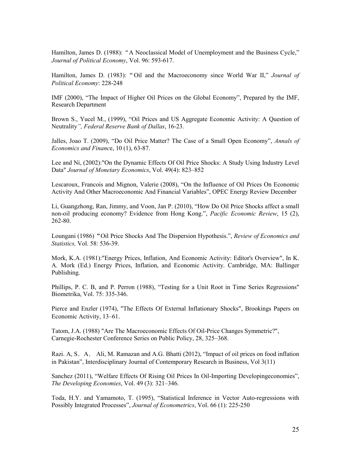Hamilton, James D. (1988): "A Neoclassical Model of Unemployment and the Business Cycle," *Journal of Political Economy, Vol. 96: 593-617.* 

Hamilton, James D. (1983): "Oil and the Macroeconomy since World War II," Journal of **Political Economy: 228-248** 

IMF (2000), "The Impact of Higher Oil Prices on the Global Economy", Prepared by the IMF, Research Department

Brown S., Yucel M., (1999), "Oil Prices and US Aggregate Economic Activity: A Question of Neutrality", Federal Reserve Bank of Dallas, 16-23.

Jalles, Joao T. (2009), "Do Oil Price Matter? The Case of a Small Open Economy", Annals of *Economics and Finance*, 10 (1), 63-87.

Lee and Ni, (2002):"On the Dynamic Effects Of Oil Price Shocks: A Study Using Industry Level Data" *Journal of Monetary Economics*, Vol. 49(4): 823–852

Lescaroux, Francois and Mignon, Valerie (2008), "On the Influence of Oil Prices On Economic Activity And Other Macroeconomic And Financial Variables", OPEC Energy Review December

Li, Guangzhong, Ran, Jimmy, and Voon, Jan P. (2010), "How Do Oil Price Shocks affect a small non-oil producing economy? Evidence from Hong Kong.", *Pacific Economic Review*, 15 (2), 262-80.

Loungani (1986) "Oil Price Shocks And The Dispersion Hypothesis.", *Review of Economics and Statistics*, Vol. 58: 536-39.

Mork, K.A. (1981):"Energy Prices, Inflation, And Economic Activity: Editor's Overview", In K. A. Mork (Ed.) Energy Prices, Inflation, and Economic Activity. Cambridge, MA: Ballinger Publishing.

Phillips, P. C. B, and P. Perron (1988), "Testing for a Unit Root in Time Series Regressions" Biometrika, Vol. 75: 335-346.

Pierce and Enzler (1974), "The Effects Of External Inflationary Shocks", Brookings Papers on Economic Activity, 13–61.

Tatom, J.A. (1988) "Are The Macroeconomic Effects Of Oil-Price Changes Symmetric?", Carnegie-Rochester Conference Series on Public Policy, 28, 325–368.

Razi. A, S. A. Ali, M. Ramazan and A.G. Bhatti (2012), "Impact of oil prices on food inflation in Pakistan", Interdisciplinary Journal of Contemporary Research in Business, Vol 3(11)

Sanchez (2011), "Welfare Effects Of Rising Oil Prices In Oil-Importing Developingeconomies", *The Developing Economies, Vol. 49 (3): 321-346.* 

Toda, H.Y. and Yamamoto, T. (1995), "Statistical Inference in Vector Auto-regressions with Possibly Integrated Processes", Journal of Econometrics, Vol. 66 (1): 225-250